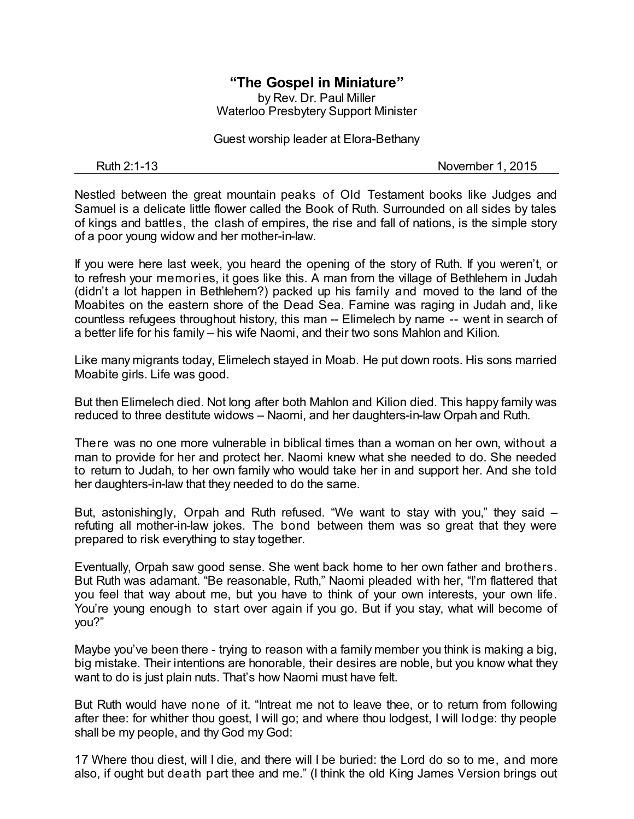## **"The Gospel in Miniature"** by Rev. Dr. Paul Miller

Waterloo Presbytery Support Minister

Guest worship leader at Elora-Bethany

Ruth 2:1-13 November 1, 2015

Nestled between the great mountain peaks of Old Testament books like Judges and Samuel is a delicate little flower called the Book of Ruth. Surrounded on all sides by tales of kings and battles, the clash of empires, the rise and fall of nations, is the simple story of a poor young widow and her mother-in-law.

If you were here last week, you heard the opening of the story of Ruth. If you weren't, or to refresh your memories, it goes like this. A man from the village of Bethlehem in Judah (didn't a lot happen in Bethlehem?) packed up his family and moved to the land of the Moabites on the eastern shore of the Dead Sea. Famine was raging in Judah and, like countless refugees throughout history, this man -- Elimelech by name -- went in search of a better life for his family – his wife Naomi, and their two sons Mahlon and Kilion.

Like many migrants today, Elimelech stayed in Moab. He put down roots. His sons married Moabite girls. Life was good.

But then Elimelech died. Not long after both Mahlon and Kilion died. This happy family was reduced to three destitute widows – Naomi, and her daughters-in-law Orpah and Ruth.

There was no one more vulnerable in biblical times than a woman on her own, without a man to provide for her and protect her. Naomi knew what she needed to do. She needed to return to Judah, to her own family who would take her in and support her. And she told her daughters-in-law that they needed to do the same.

But, astonishingly, Orpah and Ruth refused. "We want to stay with you," they said – refuting all mother-in-law jokes. The bond between them was so great that they were prepared to risk everything to stay together.

Eventually, Orpah saw good sense. She went back home to her own father and brothers. But Ruth was adamant. "Be reasonable, Ruth," Naomi pleaded with her, "I'm flattered that you feel that way about me, but you have to think of your own interests, your own life. You're young enough to start over again if you go. But if you stay, what will become of you?"

Maybe you've been there - trying to reason with a family member you think is making a big, big mistake. Their intentions are honorable, their desires are noble, but you know what they want to do is just plain nuts. That's how Naomi must have felt.

But Ruth would have none of it. "Intreat me not to leave thee, or to return from following after thee: for whither thou goest, I will go; and where thou lodgest, I will lodge: thy people shall be my people, and thy God my God:

17 Where thou diest, will I die, and there will I be buried: the Lord do so to me, and more also, if ought but death part thee and me." (I think the old King James Version brings out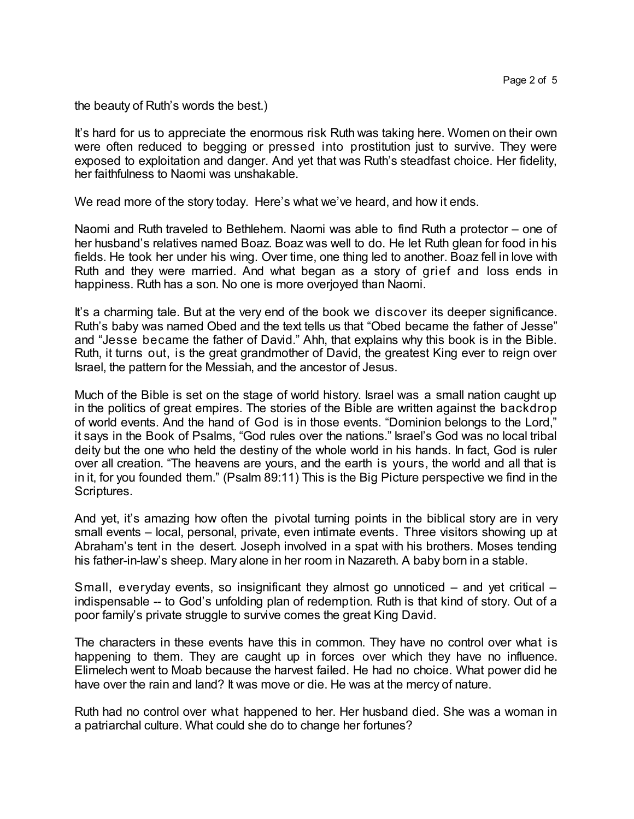the beauty of Ruth's words the best.)

It's hard for us to appreciate the enormous risk Ruth was taking here. Women on their own were often reduced to begging or pressed into prostitution just to survive. They were exposed to exploitation and danger. And yet that was Ruth's steadfast choice. Her fidelity, her faithfulness to Naomi was unshakable.

We read more of the story today. Here's what we've heard, and how it ends.

Naomi and Ruth traveled to Bethlehem. Naomi was able to find Ruth a protector – one of her husband's relatives named Boaz. Boaz was well to do. He let Ruth glean for food in his fields. He took her under his wing. Over time, one thing led to another. Boaz fell in love with Ruth and they were married. And what began as a story of grief and loss ends in happiness. Ruth has a son. No one is more overjoyed than Naomi.

It's a charming tale. But at the very end of the book we discover its deeper significance. Ruth's baby was named Obed and the text tells us that "Obed became the father of Jesse" and "Jesse became the father of David." Ahh, that explains why this book is in the Bible. Ruth, it turns out, is the great grandmother of David, the greatest King ever to reign over Israel, the pattern for the Messiah, and the ancestor of Jesus.

Much of the Bible is set on the stage of world history. Israel was a small nation caught up in the politics of great empires. The stories of the Bible are written against the backdrop of world events. And the hand of God is in those events. "Dominion belongs to the Lord," it says in the Book of Psalms, "God rules over the nations." Israel's God was no local tribal deity but the one who held the destiny of the whole world in his hands. In fact, God is ruler over all creation. "The heavens are yours, and the earth is yours, the world and all that is in it, for you founded them." (Psalm 89:11) This is the Big Picture perspective we find in the Scriptures.

And yet, it's amazing how often the pivotal turning points in the biblical story are in very small events – local, personal, private, even intimate events. Three visitors showing up at Abraham's tent in the desert. Joseph involved in a spat with his brothers. Moses tending his father-in-law's sheep. Mary alone in her room in Nazareth. A baby born in a stable.

Small, everyday events, so insignificant they almost go unnoticed  $-$  and yet critical  $$ indispensable -- to God's unfolding plan of redemption. Ruth is that kind of story. Out of a poor family's private struggle to survive comes the great King David.

The characters in these events have this in common. They have no control over what is happening to them. They are caught up in forces over which they have no influence. Elimelech went to Moab because the harvest failed. He had no choice. What power did he have over the rain and land? It was move or die. He was at the mercy of nature.

Ruth had no control over what happened to her. Her husband died. She was a woman in a patriarchal culture. What could she do to change her fortunes?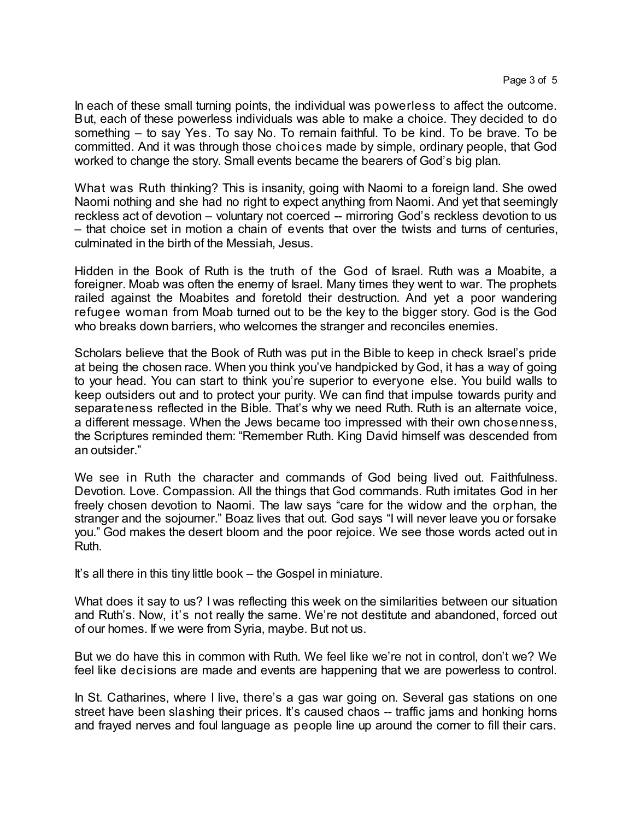In each of these small turning points, the individual was powerless to affect the outcome. But, each of these powerless individuals was able to make a choice. They decided to do something – to say Yes. To say No. To remain faithful. To be kind. To be brave. To be committed. And it was through those choices made by simple, ordinary people, that God worked to change the story. Small events became the bearers of God's big plan.

What was Ruth thinking? This is insanity, going with Naomi to a foreign land. She owed Naomi nothing and she had no right to expect anything from Naomi. And yet that seemingly reckless act of devotion – voluntary not coerced -- mirroring God's reckless devotion to us – that choice set in motion a chain of events that over the twists and turns of centuries, culminated in the birth of the Messiah, Jesus.

Hidden in the Book of Ruth is the truth of the God of Israel. Ruth was a Moabite, a foreigner. Moab was often the enemy of Israel. Many times they went to war. The prophets railed against the Moabites and foretold their destruction. And yet a poor wandering refugee woman from Moab turned out to be the key to the bigger story. God is the God who breaks down barriers, who welcomes the stranger and reconciles enemies.

Scholars believe that the Book of Ruth was put in the Bible to keep in check Israel's pride at being the chosen race. When you think you've handpicked by God, it has a way of going to your head. You can start to think you're superior to everyone else. You build walls to keep outsiders out and to protect your purity. We can find that impulse towards purity and separateness reflected in the Bible. That's why we need Ruth. Ruth is an alternate voice, a different message. When the Jews became too impressed with their own chosenness, the Scriptures reminded them: "Remember Ruth. King David himself was descended from an outsider."

We see in Ruth the character and commands of God being lived out. Faithfulness. Devotion. Love. Compassion. All the things that God commands. Ruth imitates God in her freely chosen devotion to Naomi. The law says "care for the widow and the orphan, the stranger and the sojourner." Boaz lives that out. God says "I will never leave you or forsake you." God makes the desert bloom and the poor rejoice. We see those words acted out in Ruth.

It's all there in this tiny little book – the Gospel in miniature.

What does it say to us? I was reflecting this week on the similarities between our situation and Ruth's. Now, it's not really the same. We're not destitute and abandoned, forced out of our homes. If we were from Syria, maybe. But not us.

But we do have this in common with Ruth. We feel like we're not in control, don't we? We feel like decisions are made and events are happening that we are powerless to control.

In St. Catharines, where I live, there's a gas war going on. Several gas stations on one street have been slashing their prices. It's caused chaos -- traffic jams and honking horns and frayed nerves and foul language as people line up around the corner to fill their cars.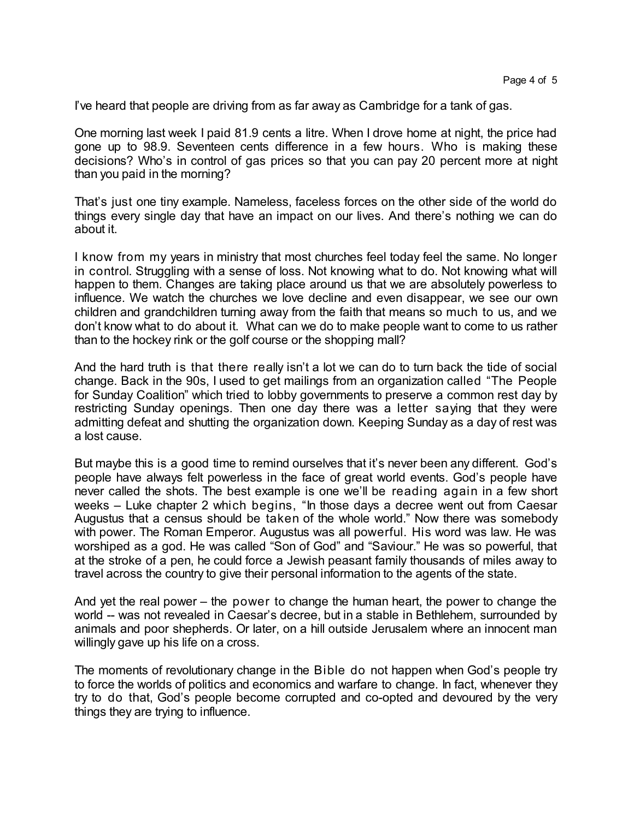I've heard that people are driving from as far away as Cambridge for a tank of gas.

One morning last week I paid 81.9 cents a litre. When I drove home at night, the price had gone up to 98.9. Seventeen cents difference in a few hours. Who is making these decisions? Who's in control of gas prices so that you can pay 20 percent more at night than you paid in the morning?

That's just one tiny example. Nameless, faceless forces on the other side of the world do things every single day that have an impact on our lives. And there's nothing we can do about it.

I know from my years in ministry that most churches feel today feel the same. No longer in control. Struggling with a sense of loss. Not knowing what to do. Not knowing what will happen to them. Changes are taking place around us that we are absolutely powerless to influence. We watch the churches we love decline and even disappear, we see our own children and grandchildren turning away from the faith that means so much to us, and we don't know what to do about it. What can we do to make people want to come to us rather than to the hockey rink or the golf course or the shopping mall?

And the hard truth is that there really isn't a lot we can do to turn back the tide of social change. Back in the 90s, I used to get mailings from an organization called "The People for Sunday Coalition" which tried to lobby governments to preserve a common rest day by restricting Sunday openings. Then one day there was a letter saying that they were admitting defeat and shutting the organization down. Keeping Sunday as a day of rest was a lost cause.

But maybe this is a good time to remind ourselves that it's never been any different. God's people have always felt powerless in the face of great world events. God's people have never called the shots. The best example is one we'll be reading again in a few short weeks – Luke chapter 2 which begins, "In those days a decree went out from Caesar Augustus that a census should be taken of the whole world." Now there was somebody with power. The Roman Emperor. Augustus was all powerful. His word was law. He was worshiped as a god. He was called "Son of God" and "Saviour." He was so powerful, that at the stroke of a pen, he could force a Jewish peasant family thousands of miles away to travel across the country to give their personal information to the agents of the state.

And yet the real power – the power to change the human heart, the power to change the world -- was not revealed in Caesar's decree, but in a stable in Bethlehem, surrounded by animals and poor shepherds. Or later, on a hill outside Jerusalem where an innocent man willingly gave up his life on a cross.

The moments of revolutionary change in the Bible do not happen when God's people try to force the worlds of politics and economics and warfare to change. In fact, whenever they try to do that, God's people become corrupted and co-opted and devoured by the very things they are trying to influence.